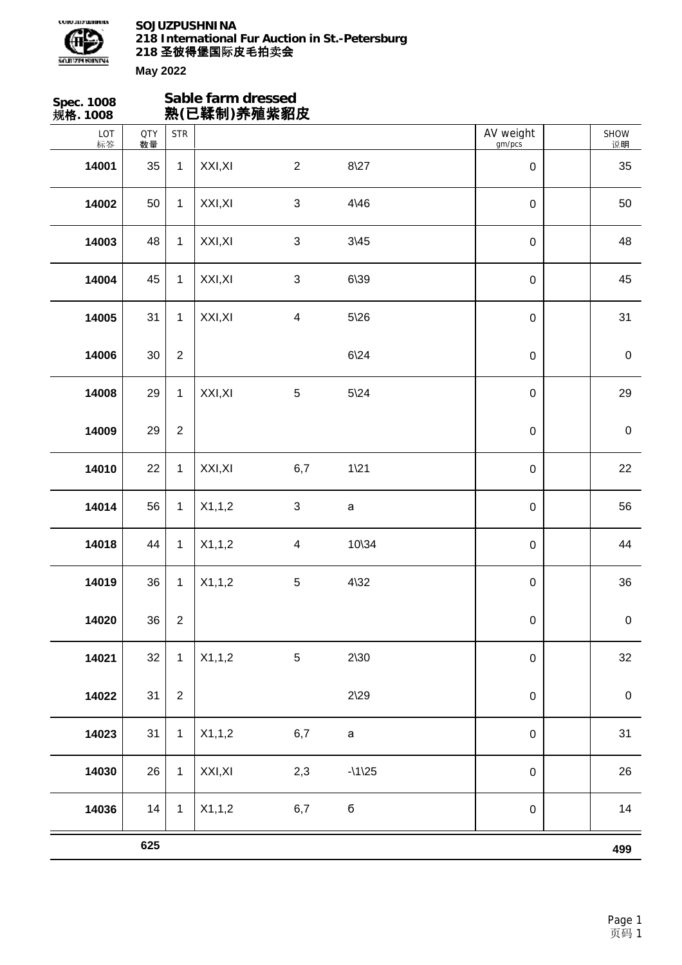

| Spec. 1008<br>规格. 1008 |                  |                | Sable farm dressed<br>熟(已鞣制)养殖紫貂皮 |                         |                  |                     |                  |
|------------------------|------------------|----------------|-----------------------------------|-------------------------|------------------|---------------------|------------------|
| LOT<br>标签              | <b>QTY</b><br>数量 | <b>STR</b>     |                                   |                         |                  | AV weight<br>gm/pcs | SHOW<br>说明       |
| 14001                  | 35               | $\mathbf{1}$   | XXI, XI                           | $\overline{2}$          | $8\sqrt{27}$     | $\pmb{0}$           | 35               |
| 14002                  | 50               | $\mathbf{1}$   | XXI, XI                           | $\sqrt{3}$              | $4\overline{46}$ | $\pmb{0}$           | 50               |
| 14003                  | 48               | $\mathbf{1}$   | XXI, XI                           | $\sqrt{3}$              | $3\frac{45}{3}$  | $\pmb{0}$           | 48               |
| 14004                  | 45               | $\mathbf{1}$   | XXI, XI                           | $\sqrt{3}$              | $6\frac{39}{ }$  | $\pmb{0}$           | 45               |
| 14005                  | 31               | $\mathbf{1}$   | XXI, XI                           | $\overline{\mathbf{4}}$ | $5\sqrt{26}$     | $\pmb{0}$           | 31               |
| 14006                  | 30               | $\sqrt{2}$     |                                   |                         | $6\frac{24}{3}$  | $\pmb{0}$           | $\boldsymbol{0}$ |
| 14008                  | 29               | $\mathbf{1}$   | XXI, XI                           | $\sqrt{5}$              | $5\sqrt{24}$     | $\pmb{0}$           | 29               |
| 14009                  | 29               | $\sqrt{2}$     |                                   |                         |                  | $\pmb{0}$           | $\pmb{0}$        |
| 14010                  | 22               | $\mathbf{1}$   | XXI, XI                           | 6,7                     | $1\backslash21$  | $\pmb{0}$           | 22               |
| 14014                  | 56               | $\mathbf{1}$   | X1,1,2                            | $\sqrt{3}$              | $\mathsf a$      | $\pmb{0}$           | 56               |
| 14018                  | 44               | $\mathbf{1}$   | X1,1,2                            | $\overline{\mathbf{4}}$ | 10\34            | $\pmb{0}$           | 44               |
| 14019                  | 36               | $\mathbf{1}$   | X1,1,2                            | $\sqrt{5}$              | $4\overline{32}$ | $\pmb{0}$           | 36               |
| 14020                  | 36               | $\sqrt{2}$     |                                   |                         |                  | $\pmb{0}$           | $\mathbf 0$      |
| 14021                  | 32               | $\mathbf{1}$   | X1,1,2                            | $\,$ 5 $\,$             | $2\,30$          | $\pmb{0}$           | 32               |
| 14022                  | 31               | $\overline{2}$ |                                   |                         | $2\sqrt{29}$     | $\pmb{0}$           | $\pmb{0}$        |
| 14023                  | 31               | $\mathbf{1}$   | X1,1,2                            | 6,7                     | $\mathsf a$      | $\pmb{0}$           | 31               |
| 14030                  | 26               | $\mathbf{1}$   | XXI, XI                           | 2,3                     | $-1125$          | $\pmb{0}$           | 26               |
| 14036                  | 14               | $\mathbf{1}$   | X1,1,2                            | 6,7                     | $\mathbf 6$      | $\pmb{0}$           | 14               |
|                        | 625              |                |                                   |                         |                  |                     | 499              |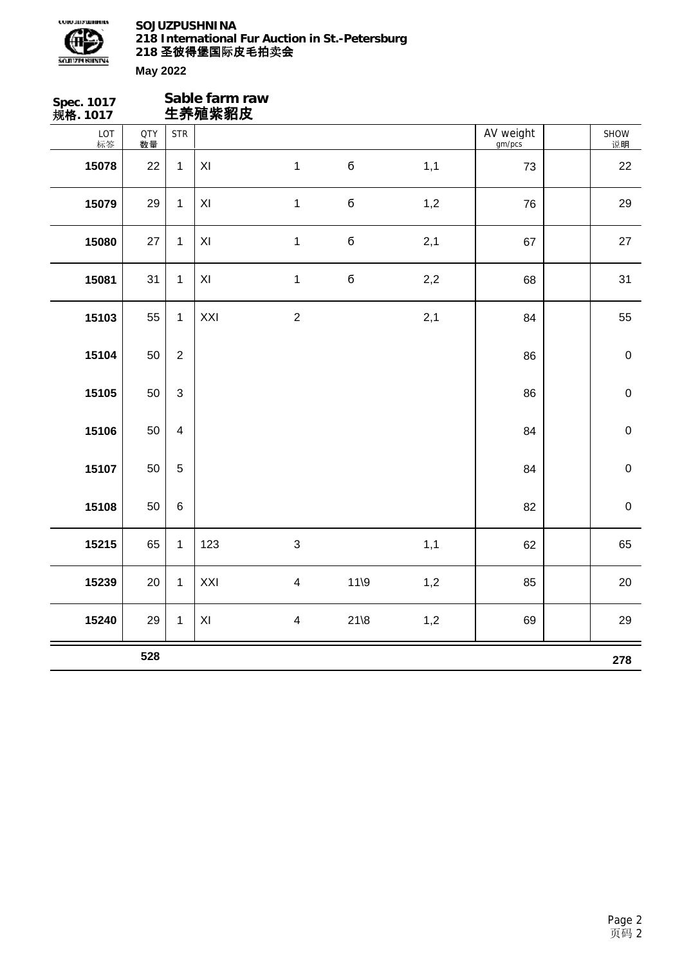

**Spec. 1017 规格. 1017 Sable farm raw 生养殖紫貂皮** LOT 标签 QTY 数量 SHOW 说明 STR | AV weight gm/pcs **15078** 22 1 XI 1 б 1,1 73 22 **15079** 29 1 XI 1 б 1,2 76 29 **15080** 27 1 XI 1 б 2,1 67 27 **15081** 31 1 XI 1 б 2,2 68 31 **15103** 55 1 XXI 2 2 2,1 84 55 **15104** 50 2 86 0 36 0 36 0 36 0 36 1 36 1 37 38 38 39 30 31 32 33 34 35 36 37 38 37 38 37 38 37 38 37 38 37 38 3 **15105** 50 3 86 0 **15106** 50 4 84 0 **15107** 50 5 84 0 **15108** 50 6 82 0 **15215** 65 1 123 3 1,1 62 65 **15239** 20 1 XXI 4 11\9 1,2 85 20 **15240** 29 1 XI 4 21\8 1,2 69 29 **528 278**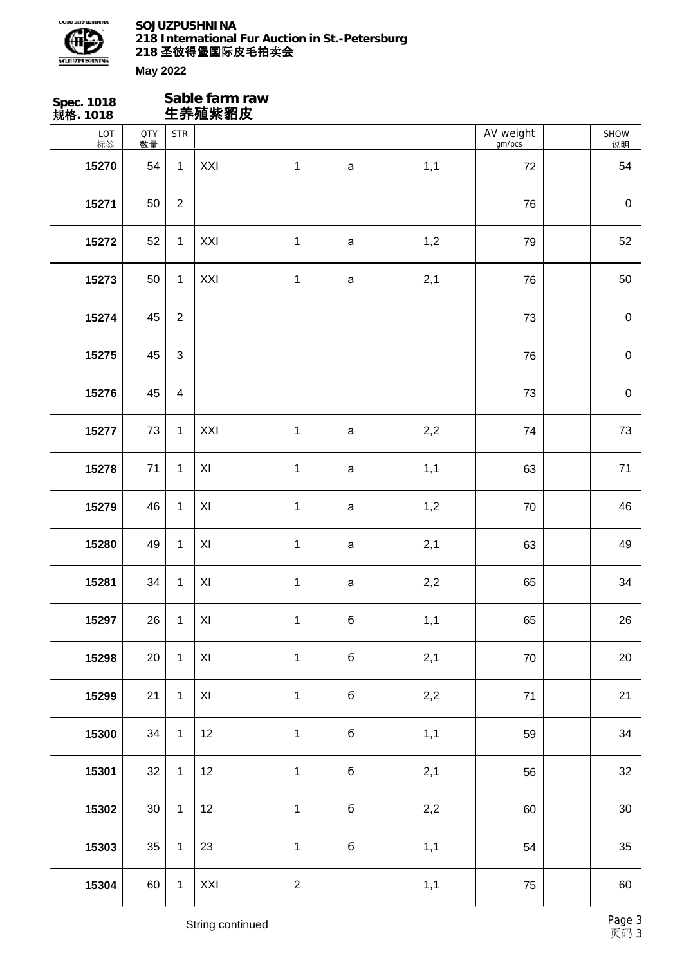

| <b>Spec. 1018</b><br>规格. 1018 |                  |                | Sable farm raw<br>生养殖紫貂皮 |                |             |     |                     |             |
|-------------------------------|------------------|----------------|--------------------------|----------------|-------------|-----|---------------------|-------------|
| LOT<br>标签                     | <b>QTY</b><br>数量 | <b>STR</b>     |                          |                |             |     | AV weight<br>gm/pcs | SHOW<br>说明  |
| 15270                         | 54               | $\mathbf{1}$   | XXI                      | $\mathbf{1}$   | $\mathsf a$ | 1,1 | 72                  | 54          |
| 15271                         | 50               | $\overline{2}$ |                          |                |             |     | 76                  | $\pmb{0}$   |
| 15272                         | 52               | $\mathbf{1}$   | XXI                      | $\mathbf{1}$   | $\mathsf a$ | 1,2 | 79                  | 52          |
| 15273                         | 50               | $\mathbf{1}$   | XXI                      | $\mathbf{1}$   | $\mathsf a$ | 2,1 | 76                  | 50          |
| 15274                         | 45               | $\overline{2}$ |                          |                |             |     | 73                  | $\pmb{0}$   |
| 15275                         | 45               | $\mathfrak{S}$ |                          |                |             |     | 76                  | $\mathbf 0$ |
| 15276                         | 45               | $\overline{4}$ |                          |                |             |     | 73                  | $\pmb{0}$   |
| 15277                         | 73               | $\mathbf{1}$   | XXI                      | $\mathbf{1}$   | $\mathsf a$ | 2,2 | 74                  | 73          |
| 15278                         | 71               | $\mathbf{1}$   | XI                       | $\mathbf 1$    | $\mathsf a$ | 1,1 | 63                  | 71          |
| 15279                         | 46               | $\mathbf{1}$   | XI                       | $\mathbf{1}$   | $\mathsf a$ | 1,2 | 70                  | 46          |
| 15280                         | 49               | $\mathbf{1}$   | XI                       | $\mathbf{1}$   | $\mathsf a$ | 2,1 | 63                  | 49          |
| 15281                         | 34               | $\mathbf{1}$   | XI                       | $\mathbf{1}$   | $\mathsf a$ | 2,2 | 65                  | 34          |
| 15297                         | 26               | $\overline{1}$ | $\mathsf{X} \mathsf{I}$  | $\mathbf 1$    | $\mathbf 6$ | 1,1 | 65                  | 26          |
| 15298                         | 20               | $\mathbf{1}$   | XI                       | $\mathbf{1}$   | б           | 2,1 | $70\,$              | 20          |
| 15299                         | 21               | $\mathbf{1}$   | XI                       | $\mathbf{1}$   | $\mathbf 6$ | 2,2 | $71$                | 21          |
| 15300                         | 34               | $\mathbf{1}$   | 12                       | $\mathbf{1}$   | $\mathbf 6$ | 1,1 | 59                  | 34          |
| 15301                         | 32               | $\mathbf{1}$   | 12                       | $\mathbf{1}$   | $\mathbf 6$ | 2,1 | 56                  | 32          |
| 15302                         | 30               | $\mathbf{1}$   | 12                       | $\mathbf 1$    | б           | 2,2 | 60                  | $30\,$      |
| 15303                         | $35\,$           | $\mathbf{1}$   | 23                       | $\mathbf{1}$   | $\mathbf 6$ | 1,1 | 54                  | 35          |
| 15304                         | 60               | $\mathbf{1}$   | XXI                      | $\overline{2}$ |             | 1,1 | 75                  | 60          |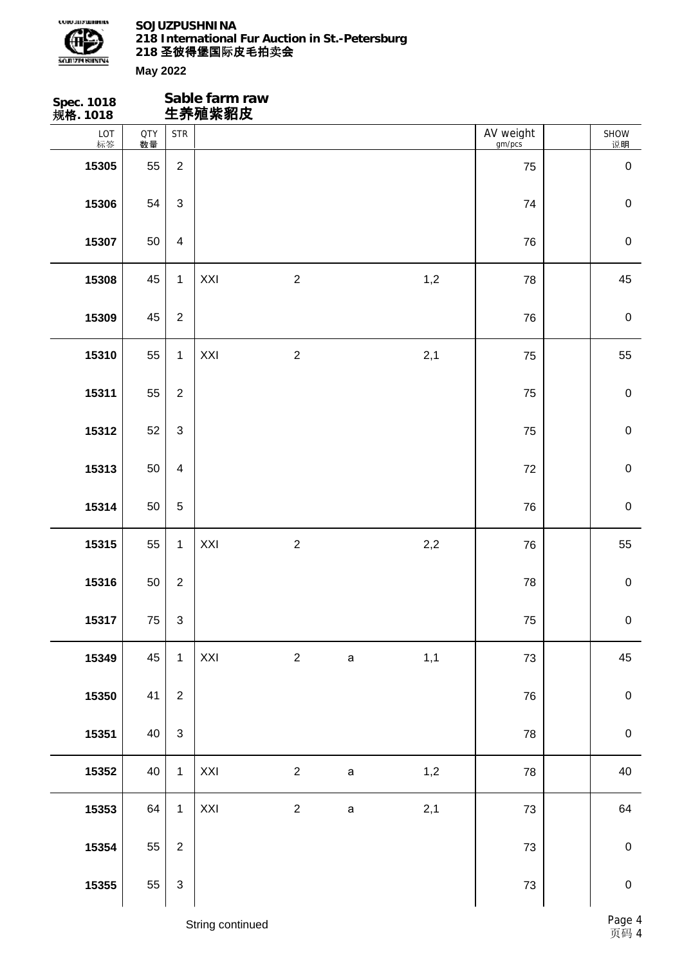

| Spec. 1018<br>规 <b>格</b> . 1018 |                  |                | Sable farm raw<br>生养殖紫貂皮 |                |              |     |                     |             |
|---------------------------------|------------------|----------------|--------------------------|----------------|--------------|-----|---------------------|-------------|
| LOT<br>标签                       | <b>QTY</b><br>数量 | <b>STR</b>     |                          |                |              |     | AV weight<br>gm/pcs | SHOW<br>说明  |
| 15305                           | 55               | $\overline{2}$ |                          |                |              |     | 75                  | $\pmb{0}$   |
| 15306                           | 54               | $\mathfrak{B}$ |                          |                |              |     | 74                  | $\mathbf 0$ |
| 15307                           | 50               | $\overline{4}$ |                          |                |              |     | 76                  | $\pmb{0}$   |
| 15308                           | 45               | $\mathbf{1}$   | XXI                      | $\overline{2}$ |              | 1,2 | 78                  | 45          |
| 15309                           | 45               | $\overline{2}$ |                          |                |              |     | 76                  | $\pmb{0}$   |
| 15310                           | 55               | $\mathbf{1}$   | XXI                      | $\overline{2}$ |              | 2,1 | 75                  | 55          |
| 15311                           | 55               | $\overline{2}$ |                          |                |              |     | 75                  | $\mathbf 0$ |
| 15312                           | 52               | $\mathfrak{S}$ |                          |                |              |     | 75                  | $\mathbf 0$ |
| 15313                           | 50               | $\overline{4}$ |                          |                |              |     | 72                  | $\mathbf 0$ |
| 15314                           | 50               | $\sqrt{5}$     |                          |                |              |     | 76                  | $\pmb{0}$   |
| 15315                           | 55               | $\mathbf{1}$   | XXI                      | $\sqrt{2}$     |              | 2,2 | 76                  | 55          |
| 15316                           | 50               | $\mathbf{2}$   |                          |                |              |     | 78                  | $\pmb{0}$   |
| 15317                           | 75               | $\mathbf{3}$   |                          |                |              |     | 75                  | $\pmb{0}$   |
| 15349                           | 45               | $\mathbf{1}$   | XXI                      | $\overline{2}$ | $\mathsf{a}$ | 1,1 | 73                  | 45          |
| 15350                           | 41               | $\overline{2}$ |                          |                |              |     | 76                  | $\pmb{0}$   |
| 15351                           | 40               | $\mathbf{3}$   |                          |                |              |     | 78                  | $\pmb{0}$   |
| 15352                           | 40               | $\mathbf{1}$   | XXI                      | $\overline{2}$ | $\mathbf a$  | 1,2 | 78                  | 40          |
| 15353                           | 64               | $\mathbf{1}$   | XXI                      | $\overline{2}$ | $\mathsf a$  | 2,1 | 73                  | 64          |
| 15354                           | 55               | $\overline{2}$ |                          |                |              |     | 73                  | $\pmb{0}$   |
| 15355                           | 55               | $\mathfrak{S}$ |                          |                |              |     | 73                  | $\pmb{0}$   |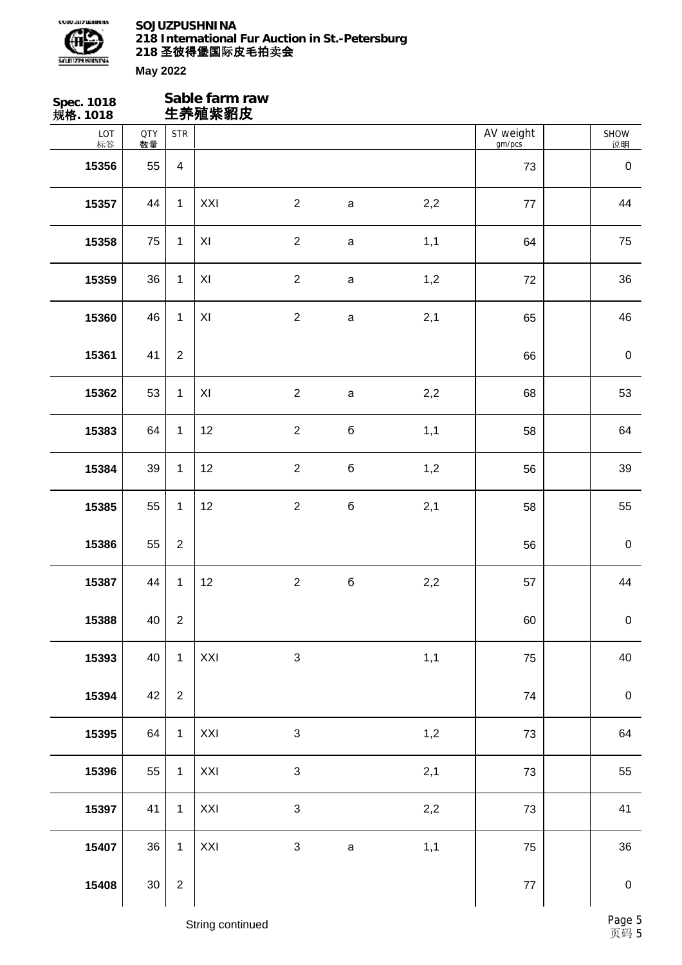

| Spec. 1018<br>规格. 1018 |                  |                | Sable farm raw<br>生养殖紫貂皮 |                |              |     |                     |                  |
|------------------------|------------------|----------------|--------------------------|----------------|--------------|-----|---------------------|------------------|
| LOT<br>标签              | <b>QTY</b><br>数量 | <b>STR</b>     |                          |                |              |     | AV weight<br>gm/pcs | SHOW<br>说明       |
| 15356                  | 55               | $\overline{4}$ |                          |                |              |     | 73                  | $\pmb{0}$        |
| 15357                  | 44               | $\mathbf{1}$   | XXI                      | $\overline{2}$ | $\mathsf a$  | 2,2 | $77 \,$             | 44               |
| 15358                  | 75               | $\mathbf{1}$   | $\pmb{\times}$           | $\overline{2}$ | $\mathsf{a}$ | 1,1 | 64                  | 75               |
| 15359                  | 36               | $\mathbf{1}$   | XI                       | $\overline{2}$ | $\mathsf a$  | 1,2 | 72                  | 36               |
| 15360                  | 46               | $\mathbf{1}$   | XI                       | $\overline{2}$ | $\mathsf{a}$ | 2,1 | 65                  | 46               |
| 15361                  | 41               | $\overline{2}$ |                          |                |              |     | 66                  | $\boldsymbol{0}$ |
| 15362                  | 53               | $\mathbf{1}$   | $\pmb{\times}$           | $\overline{2}$ | $\mathsf{a}$ | 2,2 | 68                  | 53               |
| 15383                  | 64               | $\mathbf{1}$   | 12                       | $\overline{2}$ | $\mathbf 6$  | 1,1 | 58                  | 64               |
| 15384                  | 39               | $\mathbf{1}$   | 12                       | $\overline{2}$ | $\mathbf 6$  | 1,2 | 56                  | 39               |
| 15385                  | 55               | $\mathbf{1}$   | 12                       | $\overline{2}$ | $\mathbf 6$  | 2,1 | 58                  | 55               |
| 15386                  | 55               | $\sqrt{2}$     |                          |                |              |     | 56                  | $\pmb{0}$        |
| 15387                  | 44               | $\mathbf{1}$   | 12                       | $\overline{2}$ | б            | 2,2 | 57                  | 44               |
| 15388                  | 40               | $\overline{2}$ |                          |                |              |     | 60                  | $\pmb{0}$        |
| 15393                  | 40               | $\mathbf{1}$   | XXI                      | 3              |              | 1,1 | 75                  | $40\,$           |
| 15394                  | 42               | $\overline{2}$ |                          |                |              |     | $74\,$              | $\pmb{0}$        |
| 15395                  | 64               | $\mathbf{1}$   | XXI                      | $\mathfrak{S}$ |              | 1,2 | 73                  | 64               |
| 15396                  | 55               | $\mathbf 1$    | XXI                      | $\mathfrak{S}$ |              | 2,1 | 73                  | 55               |
| 15397                  | 41               | $\mathbf{1}$   | XXI                      | 3              |              | 2,2 | 73                  | 41               |
| 15407                  | 36               | $\mathbf{1}$   | $\mathsf{XXI}$           | 3              | $\mathsf a$  | 1,1 | 75                  | 36               |
| 15408                  | $30\,$           | $\overline{2}$ |                          |                |              |     | $77\,$              | $\pmb{0}$        |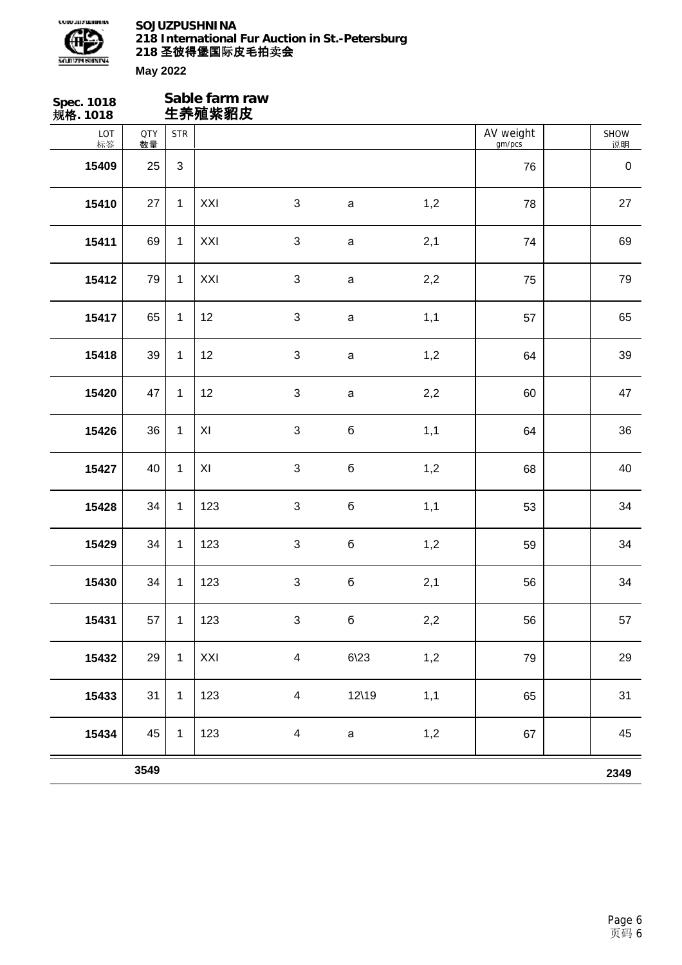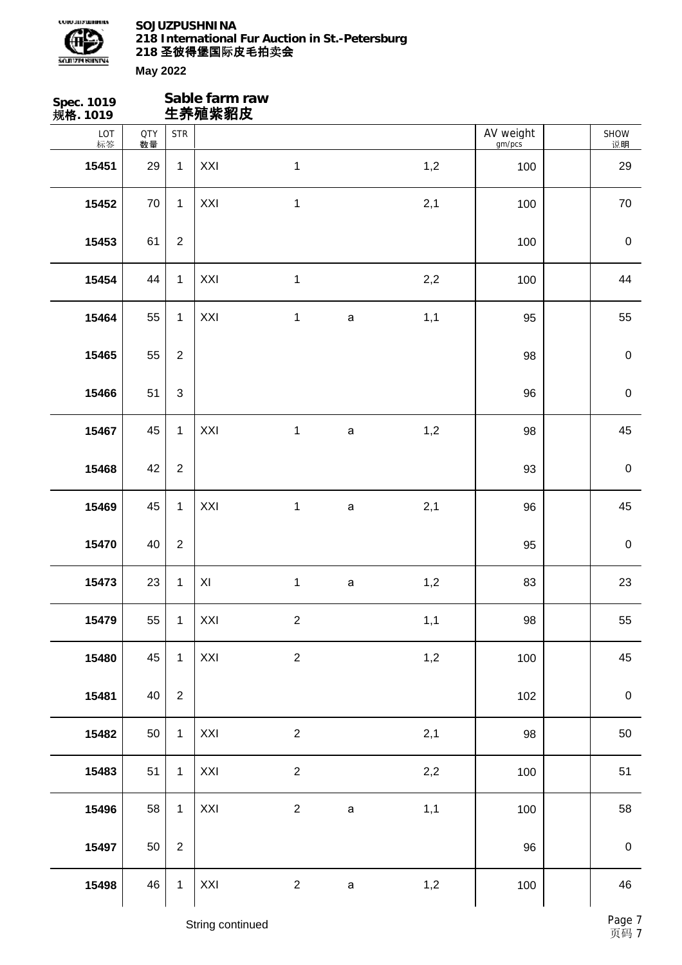

| Spec. 1019<br>规格. 1019 |                  |                | Sable farm raw<br>生养殖紫貂皮 |                |              |     |                     |                   |
|------------------------|------------------|----------------|--------------------------|----------------|--------------|-----|---------------------|-------------------|
| LOT<br>标签              | <b>QTY</b><br>数量 | <b>STR</b>     |                          |                |              |     | AV weight<br>gm/pcs | <b>SHOW</b><br>说明 |
| 15451                  | 29               | $\mathbf{1}$   | XXI                      | $\mathbf 1$    |              | 1,2 | 100                 | 29                |
| 15452                  | 70               | $\mathbf{1}$   | XXI                      | $\mathbf{1}$   |              | 2,1 | 100                 | 70                |
| 15453                  | 61               | $\overline{2}$ |                          |                |              |     | 100                 | $\pmb{0}$         |
| 15454                  | 44               | $\mathbf{1}$   | XXI                      | $\mathbf{1}$   |              | 2,2 | 100                 | 44                |
| 15464                  | 55               | $\mathbf{1}$   | XXI                      | $\mathbf{1}$   | $\mathsf a$  | 1,1 | 95                  | 55                |
| 15465                  | 55               | $\overline{2}$ |                          |                |              |     | 98                  | $\pmb{0}$         |
| 15466                  | 51               | $\mathfrak{S}$ |                          |                |              |     | 96                  | $\pmb{0}$         |
| 15467                  | 45               | $\mathbf{1}$   | XXI                      | $\mathbf{1}$   | $\mathsf a$  | 1,2 | 98                  | 45                |
| 15468                  | 42               | $\overline{2}$ |                          |                |              |     | 93                  | $\pmb{0}$         |
| 15469                  | 45               | $\mathbf{1}$   | XXI                      | $\mathbf{1}$   | $\mathsf{a}$ | 2,1 | 96                  | 45                |
| 15470                  | 40               | $\overline{2}$ |                          |                |              |     | 95                  | $\pmb{0}$         |
| 15473                  | 23               | $\mathbf{1}$   | XI                       | $\mathbf{1}$   | $\mathsf a$  | 1,2 | 83                  | 23                |
| 15479                  | 55               | $\overline{1}$ | XXI                      | $\sqrt{2}$     |              | 1,1 | 98                  | 55                |
| 15480                  | 45               | $\mathbf{1}$   | XXI                      | $\overline{2}$ |              | 1,2 | 100                 | 45                |
| 15481                  | 40               | $\overline{2}$ |                          |                |              |     | 102                 | $\mathbf 0$       |
| 15482                  | 50               | $\mathbf{1}$   | XXI                      | $\overline{2}$ |              | 2,1 | 98                  | 50                |
| 15483                  | 51               | $\mathbf{1}$   | XXI                      | $\overline{2}$ |              | 2,2 | 100                 | 51                |
| 15496                  | 58               | $\mathbf{1}$   | $\mathsf{XXI}$           | $\overline{2}$ | $\mathsf a$  | 1,1 | 100                 | 58                |
| 15497                  | 50               | $\overline{2}$ |                          |                |              |     | 96                  | $\pmb{0}$         |
| 15498                  | 46               | $\mathbf{1}$   | $\mathsf{XXI}$           | $\mathbf{2}$   | $\mathsf a$  | 1,2 | 100                 | 46                |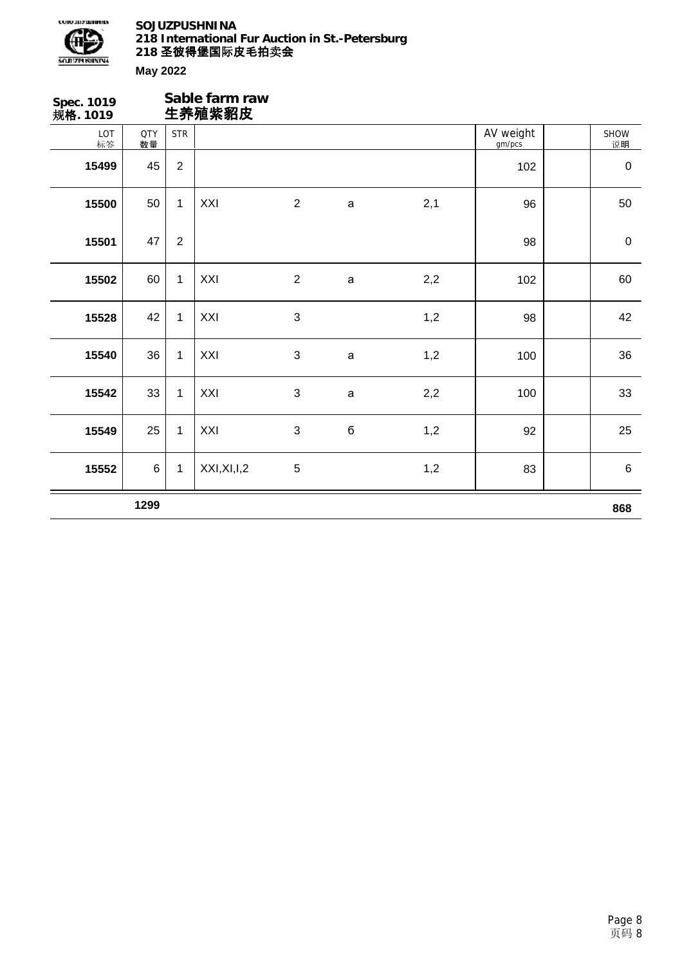

| Spec. 1019<br>规格. 1019 |                  |                | Sable farm raw<br>生养殖紫貂皮 |                |              |     |                     |                   |
|------------------------|------------------|----------------|--------------------------|----------------|--------------|-----|---------------------|-------------------|
| LOT<br>标签              | <b>QTY</b><br>数量 | <b>STR</b>     |                          |                |              |     | AV weight<br>gm/pcs | <b>SHOW</b><br>说明 |
| 15499                  | 45               | $\overline{2}$ |                          |                |              |     | 102                 | $\pmb{0}$         |
| 15500                  | 50               | $\mathbf 1$    | XXI                      | $\overline{2}$ | $\mathbf a$  | 2,1 | 96                  | 50                |
| 15501                  | 47               | $\overline{2}$ |                          |                |              |     | 98                  | $\pmb{0}$         |
| 15502                  | 60               | $\mathbf 1$    | XXI                      | $\overline{2}$ | $\mathsf a$  | 2,2 | 102                 | 60                |
| 15528                  | 42               | $\mathbf{1}$   | XXI                      | 3              |              | 1,2 | 98                  | 42                |
| 15540                  | 36               | $\mathbf{1}$   | XXI                      | $\mathbf{3}$   | a            | 1,2 | 100                 | 36                |
| 15542                  | 33               | $\mathbf{1}$   | XXI                      | 3              | $\mathsf{a}$ | 2,2 | 100                 | 33                |
| 15549                  | 25               | $\mathbf{1}$   | XXI                      | 3              | б            | 1,2 | 92                  | 25                |
| 15552                  | 6                | $\mathbf{1}$   | XXI, XI, I, 2            | $\sqrt{5}$     |              | 1,2 | 83                  | $\,6\,$           |
|                        | 1299             |                |                          |                |              |     |                     | 868               |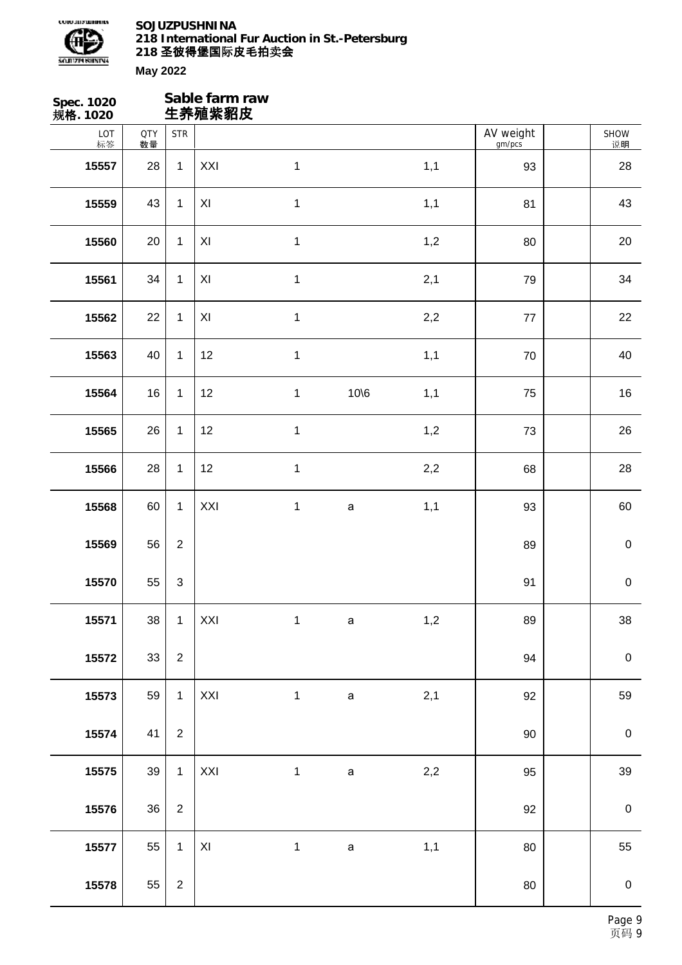

| Spec. 1020<br>规 <b>格</b> . 1020 |                  |                           | Sable farm raw<br>生养殖紫貂皮 |              |              |       |                     |                  |
|---------------------------------|------------------|---------------------------|--------------------------|--------------|--------------|-------|---------------------|------------------|
| LOT<br>标签                       | <b>QTY</b><br>数量 | <b>STR</b>                |                          |              |              |       | AV weight<br>gm/pcs | SHOW<br>说明       |
| 15557                           | 28               | $\mathbf{1}$              | XXI                      | $\mathbf 1$  |              | 1,1   | 93                  | 28               |
| 15559                           | 43               | $\mathbf{1}$              | XI                       | $\mathbf 1$  |              | 1,1   | 81                  | 43               |
| 15560                           | 20               | $\mathbf{1}$              | XI                       | $\mathbf 1$  |              | 1,2   | 80                  | 20               |
| 15561                           | 34               | $\mathbf{1}$              | XI                       | $\mathbf 1$  |              | 2,1   | 79                  | 34               |
| 15562                           | 22               | $\mathbf{1}$              | XI                       | $\mathbf 1$  |              | 2,2   | 77                  | 22               |
| 15563                           | 40               | $\mathbf{1}$              | 12                       | $\mathbf 1$  |              | 1,1   | 70                  | 40               |
| 15564                           | 16               | $\mathbf{1}$              | 12                       | $\mathbf 1$  | $10\%$       | 1,1   | 75                  | 16               |
| 15565                           | 26               | $\mathbf{1}$              | 12                       | $\mathbf 1$  |              | 1,2   | 73                  | 26               |
| 15566                           | 28               | $\mathbf{1}$              | 12                       | $\mathbf 1$  |              | 2,2   | 68                  | 28               |
| 15568                           | 60               | $\mathbf{1}$              | XXI                      | $\mathbf 1$  | $\mathsf{a}$ | 1,1   | 93                  | 60               |
| 15569                           | 56               | $\overline{2}$            |                          |              |              |       | 89                  | $\pmb{0}$        |
| 15570                           | 55               | $\ensuremath{\mathsf{3}}$ |                          |              |              |       | 91                  | $\pmb{0}$        |
| 15571                           | 38               | $\mathbf{1}$              | XXI                      | $\mathbf{1}$ | $\mathbf a$  | 1,2   | 89                  | 38               |
| 15572                           | 33               | $\overline{2}$            |                          |              |              |       | 94                  | $\pmb{0}$        |
| 15573                           | 59               | $\mathbf{1}$              | XXI                      | $\mathbf{1}$ | $\mathsf a$  | 2,1   | 92                  | 59               |
| 15574                           | 41               | $\overline{2}$            |                          |              |              |       | 90                  | $\pmb{0}$        |
| 15575                           | 39               | $\mathbf{1}$              | XXI                      | $\mathbf{1}$ | $\mathsf a$  | $2,2$ | 95                  | 39               |
| 15576                           | 36               | $\overline{2}$            |                          |              |              |       | 92                  | $\boldsymbol{0}$ |
| 15577                           | 55               | $\mathbf{1}$              | XI                       | $\mathbf{1}$ | $\mathsf a$  | 1,1   | 80                  | 55               |
| 15578                           | 55               | $\overline{2}$            |                          |              |              |       | $80\,$              | $\pmb{0}$        |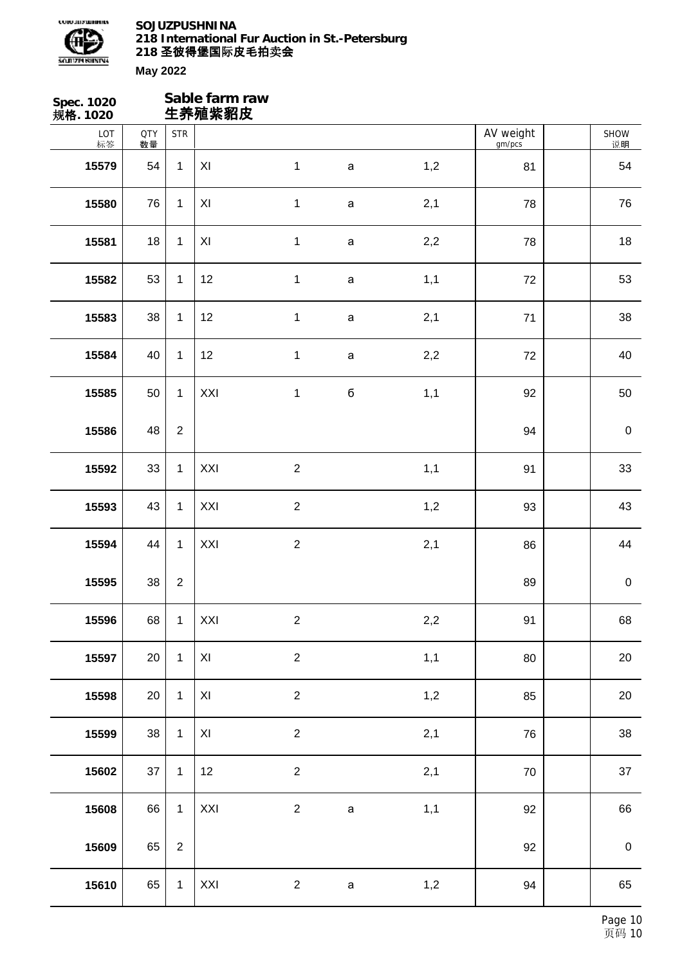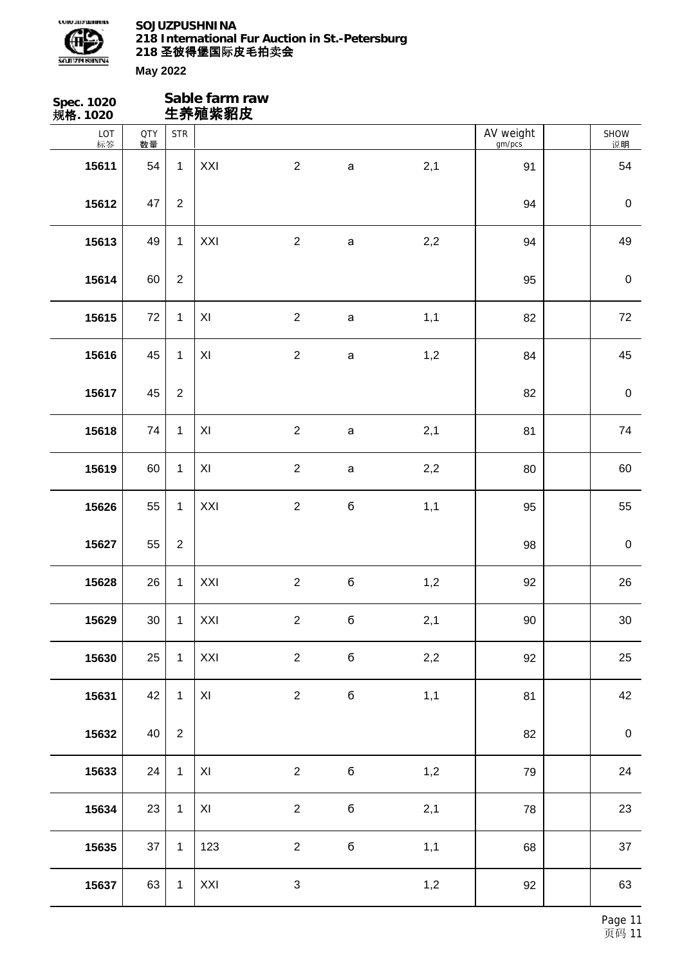

| Spec. 1020<br>规格. 1020 |                  |                | Sable farm raw<br>生养殖紫貂皮 |                |              |     |                     |                  |
|------------------------|------------------|----------------|--------------------------|----------------|--------------|-----|---------------------|------------------|
| LOT<br>标签              | <b>QTY</b><br>数量 | <b>STR</b>     |                          |                |              |     | AV weight<br>gm/pcs | SHOW<br>说明       |
| 15611                  | 54               | $\mathbf{1}$   | XXI                      | $\overline{2}$ | $\mathsf{a}$ | 2,1 | 91                  | 54               |
| 15612                  | 47               | $\overline{2}$ |                          |                |              |     | 94                  | $\pmb{0}$        |
| 15613                  | 49               | $\mathbf{1}$   | XXI                      | $\overline{2}$ | $\mathsf{a}$ | 2,2 | 94                  | 49               |
| 15614                  | 60               | $\overline{2}$ |                          |                |              |     | 95                  | $\pmb{0}$        |
| 15615                  | 72               | $\mathbf 1$    | XI                       | $\overline{2}$ | $\mathsf{a}$ | 1,1 | 82                  | 72               |
| 15616                  | 45               | $\mathbf{1}$   | XI                       | $\overline{2}$ | $\mathsf{a}$ | 1,2 | 84                  | 45               |
| 15617                  | 45               | $\overline{2}$ |                          |                |              |     | 82                  | $\pmb{0}$        |
| 15618                  | 74               | $\mathbf{1}$   | $\pmb{\times}$           | $\overline{2}$ | $\mathsf{a}$ | 2,1 | 81                  | 74               |
| 15619                  | 60               | $\mathbf 1$    | $\pmb{\times}$           | $\overline{2}$ | $\mathsf a$  | 2,2 | 80                  | 60               |
| 15626                  | 55               | $\mathbf{1}$   | XXI                      | $\sqrt{2}$     | б            | 1,1 | 95                  | 55               |
| 15627                  | 55               | $\overline{2}$ |                          |                |              |     | 98                  | $\pmb{0}$        |
| 15628                  | 26               | $\mathbf{1}$   | XXI                      | $\overline{2}$ | б            | 1,2 | 92                  | 26               |
| 15629                  | 30               | $\mathbf{1}$   | XXI                      | $\overline{2}$ | $\mathbf 6$  | 2,1 | $90\,$              | $30\,$           |
| 15630                  | 25               | $\mathbf{1}$   | XXI                      | $\overline{2}$ | б            | 2,2 | 92                  | 25               |
| 15631                  | 42               | $\mathbf 1$    | $\mathsf{X} \mathsf{I}$  | $\overline{2}$ | $\mathbf 6$  | 1,1 | 81                  | 42               |
| 15632                  | 40               | $\overline{2}$ |                          |                |              |     | 82                  | $\boldsymbol{0}$ |
| 15633                  | 24               | $\mathbf{1}$   | XI                       | $\overline{2}$ | $\mathbf 6$  | 1,2 | 79                  | 24               |
| 15634                  | 23               | $\mathbf{1}$   | XI                       | $\overline{2}$ | б            | 2,1 | 78                  | 23               |
| 15635                  | 37               | $\mathbf{1}$   | 123                      | $\overline{2}$ | б            | 1,1 | 68                  | 37               |
| 15637                  | 63               | $\mathbf{1}$   | $\mathsf{XXI}$           | 3              |              | 1,2 | 92                  | 63               |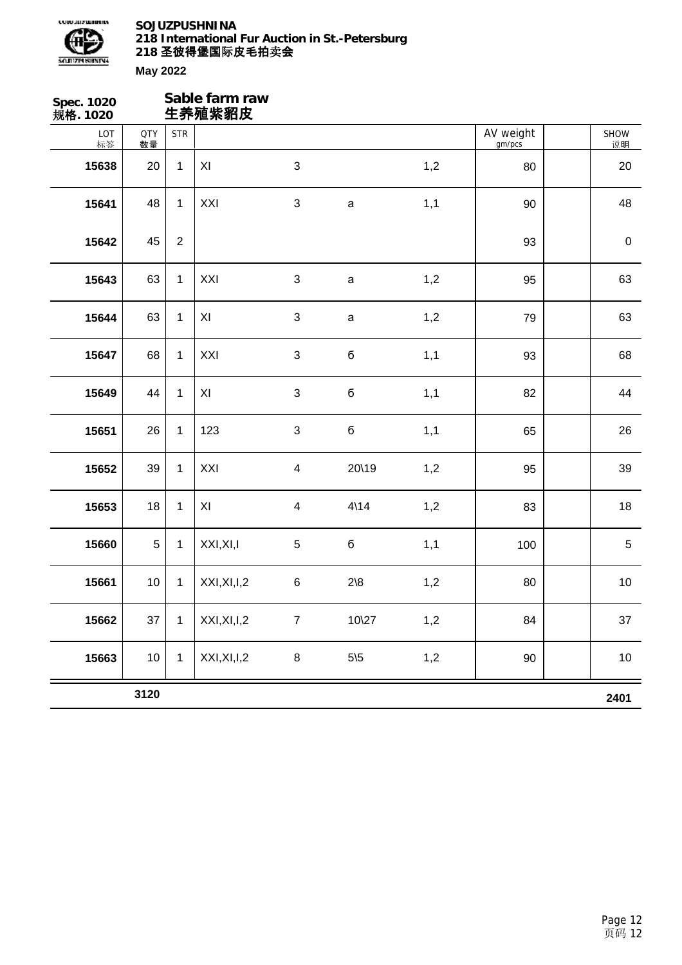

**Spec. 1020 规格. 1020 Sable farm raw 生养殖紫貂皮** LOT 标签 QTY 数量 SHOW 说明 STR | AV weight gm/pcs **15638** 20 1 XI 3 3 1,2 1,2 80 20 **15641** 48 1 XXI 3 а 1,1 90 48 **15642** 45 2 93 0 **15643** 63 1 XXI 3 а 1,2 95 63 **15644** 63 1 XI 3 а 1,2 79 63 **15647** 68 1 XXI 3 б 1,1 93 68 **15649** 44 1 XI 3 б 1,1 82 44 **15651** 26 1 123 3 б 1,1 65 26 **15652** 39 1 XXI 4 20\19 1,2 95 39 **15653** 18 1 XI 4 4\14 1,2 83 18 **15660** 5 1 XXI,XI,I 5 б 1,1 100 5 **15661** | 10 | 1 | XXI,XI,I,2 6 2\8 1,2 | 80 | | 10 **15662** 37 1 XXI,XI,I,2 7 10\27 1,2 84 37 **15663** | 10 | 1 | XXI,XI,I,2 8 5\5 1,2 | 90 | | 10 **3120 2401**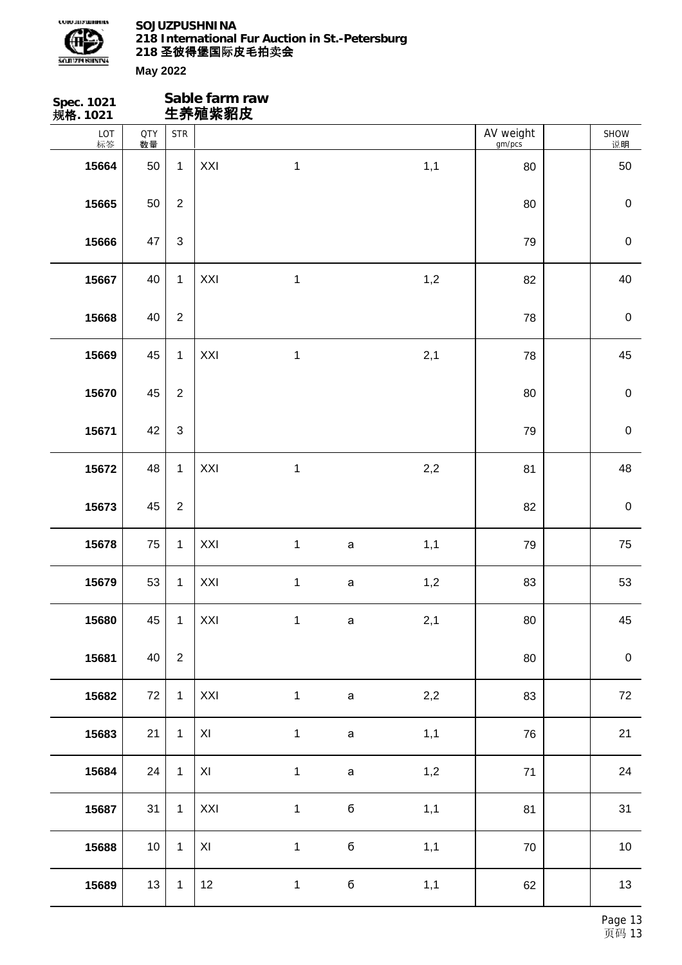

| Spec. 1021<br>规 <b>格</b> . 1021 |                  |                | Sable farm raw<br>生养殖紫貂皮 |              |             |     |                     |             |
|---------------------------------|------------------|----------------|--------------------------|--------------|-------------|-----|---------------------|-------------|
| LOT<br>标签                       | <b>QTY</b><br>数量 | <b>STR</b>     |                          |              |             |     | AV weight<br>gm/pcs | SHOW<br>说明  |
| 15664                           | 50               | $\mathbf{1}$   | XXI                      | $\mathbf 1$  |             | 1,1 | 80                  | 50          |
| 15665                           | 50               | $\overline{2}$ |                          |              |             |     | 80                  | $\pmb{0}$   |
| 15666                           | 47               | $\sqrt{3}$     |                          |              |             |     | 79                  | $\pmb{0}$   |
| 15667                           | 40               | $\mathbf{1}$   | XXI                      | $\mathbf 1$  |             | 1,2 | 82                  | 40          |
| 15668                           | 40               | $\overline{2}$ |                          |              |             |     | 78                  | $\pmb{0}$   |
| 15669                           | 45               | $\mathbf{1}$   | XXI                      | $\mathbf 1$  |             | 2,1 | 78                  | 45          |
| 15670                           | 45               | $\sqrt{2}$     |                          |              |             |     | 80                  | $\mathbf 0$ |
| 15671                           | 42               | 3              |                          |              |             |     | 79                  | $\mathbf 0$ |
| 15672                           | 48               | $\mathbf{1}$   | XXI                      | $\mathbf 1$  |             | 2,2 | 81                  | 48          |
| 15673                           | 45               | $\overline{2}$ |                          |              |             |     | 82                  | $\mathbf 0$ |
| 15678                           | 75               | $\mathbf{1}$   | XXI                      | $\mathbf{1}$ | $\mathsf a$ | 1,1 | 79                  | 75          |
| 15679                           | 53               | $\mathbf{1}$   | XXI                      | $\mathbf 1$  | $\mathsf a$ | 1,2 | 83                  | 53          |
| 15680                           | 45               | $\mathbf{1}$   | $\mathsf{XXI}$           | $\mathbf{1}$ | $\mathsf a$ | 2,1 | 80                  | 45          |
| 15681                           | 40               | $\overline{2}$ |                          |              |             |     | 80                  | $\pmb{0}$   |
| 15682                           | 72               | $\mathbf 1$    | XXI                      | $\mathbf{1}$ | $\mathsf a$ | 2,2 | 83                  | 72          |
| 15683                           | 21               | $\mathbf{1}$   | $\pmb{\times}$           | $\mathbf{1}$ | $\mathsf a$ | 1,1 | 76                  | 21          |
| 15684                           | 24               | $\mathbf{1}$   | $\pmb{\mathsf{XI}}$      | $\mathbf 1$  | $\mathsf a$ | 1,2 | $71$                | 24          |
| 15687                           | 31               | $\mathbf{1}$   | XXI                      | $\mathbf{1}$ | $\mathbf 6$ | 1,1 | 81                  | 31          |
| 15688                           | 10 <sub>1</sub>  | $\mathbf{1}$   | XI                       | $\mathbf 1$  | $\mathbf 6$ | 1,1 | $70\,$              | $10$        |
| 15689                           | 13               | $\mathbf{1}$   | 12                       | $\mathbf 1$  | $\mathbf 6$ | 1,1 | 62                  | $13$        |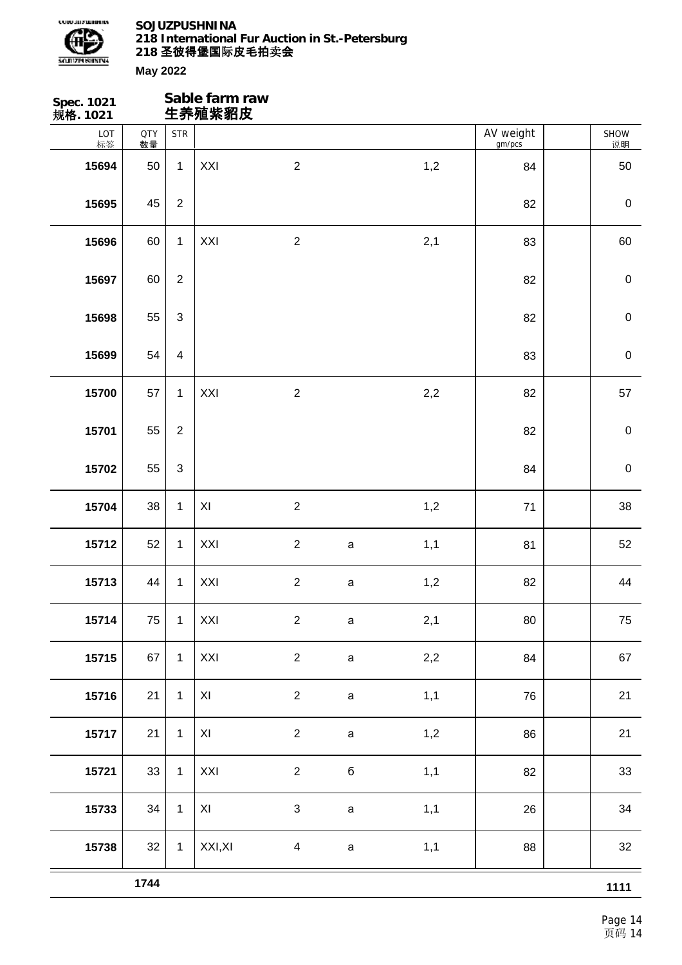

| Spec. 1021<br>规格. 1021 |                  |                | Sable farm raw<br>生养殖紫貂皮 |                |              |     |                     |             |
|------------------------|------------------|----------------|--------------------------|----------------|--------------|-----|---------------------|-------------|
| LOT<br>标签              | <b>QTY</b><br>数量 | <b>STR</b>     |                          |                |              |     | AV weight<br>gm/pcs | SHOW<br>说明  |
| 15694                  | 50               | $\mathbf{1}$   | XXI                      | $\sqrt{2}$     |              | 1,2 | 84                  | 50          |
| 15695                  | 45               | $\overline{2}$ |                          |                |              |     | 82                  | $\pmb{0}$   |
| 15696                  | 60               | $\mathbf{1}$   | XXI                      | $\sqrt{2}$     |              | 2,1 | 83                  | 60          |
| 15697                  | 60               | $\overline{2}$ |                          |                |              |     | 82                  | $\pmb{0}$   |
| 15698                  | 55               | $\mathfrak{S}$ |                          |                |              |     | 82                  | $\mathbf 0$ |
| 15699                  | 54               | $\overline{4}$ |                          |                |              |     | 83                  | $\pmb{0}$   |
| 15700                  | 57               | $\mathbf 1$    | XXI                      | $\sqrt{2}$     |              | 2,2 | 82                  | 57          |
| 15701                  | 55               | $\sqrt{2}$     |                          |                |              |     | 82                  | $\pmb{0}$   |
| 15702                  | 55               | $\mathfrak{S}$ |                          |                |              |     | 84                  | $\pmb{0}$   |
| 15704                  | 38               | $\mathbf 1$    | $\pmb{\times}$           | $\sqrt{2}$     |              | 1,2 | 71                  | 38          |
| 15712                  | 52               | $\mathbf{1}$   | XXI                      | $\overline{2}$ | $\mathsf a$  | 1,1 | 81                  | 52          |
| 15713                  | 44               | $\mathbf{1}$   | XXI                      | $\overline{2}$ | $\mathsf{a}$ | 1,2 | 82                  | 44          |
| 15714                  | 75               | $\mathbf{1}$   | XXI                      | $\overline{2}$ | $\mathsf a$  | 2,1 | 80                  | 75          |
| 15715                  | 67               | $\mathbf{1}$   | XXI                      | $\overline{2}$ | $\mathsf{a}$ | 2,2 | 84                  | 67          |
| 15716                  | 21               | $\mathbf{1}$   | XI                       | $\overline{2}$ | $\mathsf a$  | 1,1 | 76                  | 21          |
| 15717                  | 21               | $\mathbf{1}$   | $\mathsf{X} \mathsf{I}$  | $\overline{2}$ | $\mathsf a$  | 1,2 | 86                  | 21          |
| 15721                  | 33               | $\mathbf{1}$   | XXI                      | $\overline{2}$ | $\mathbf 6$  | 1,1 | 82                  | 33          |
| 15733                  | 34               | $\mathbf{1}$   | $\pmb{\mathsf{X}}$       | $\mathfrak{S}$ | $\mathsf a$  | 1,1 | 26                  | 34          |
| 15738                  | $32\,$           | $\mathbf{1}$   | XXI, XI                  | $\overline{4}$ | $\mathsf a$  | 1,1 | 88                  | 32          |
|                        | 1744             |                |                          |                |              |     |                     | 1111        |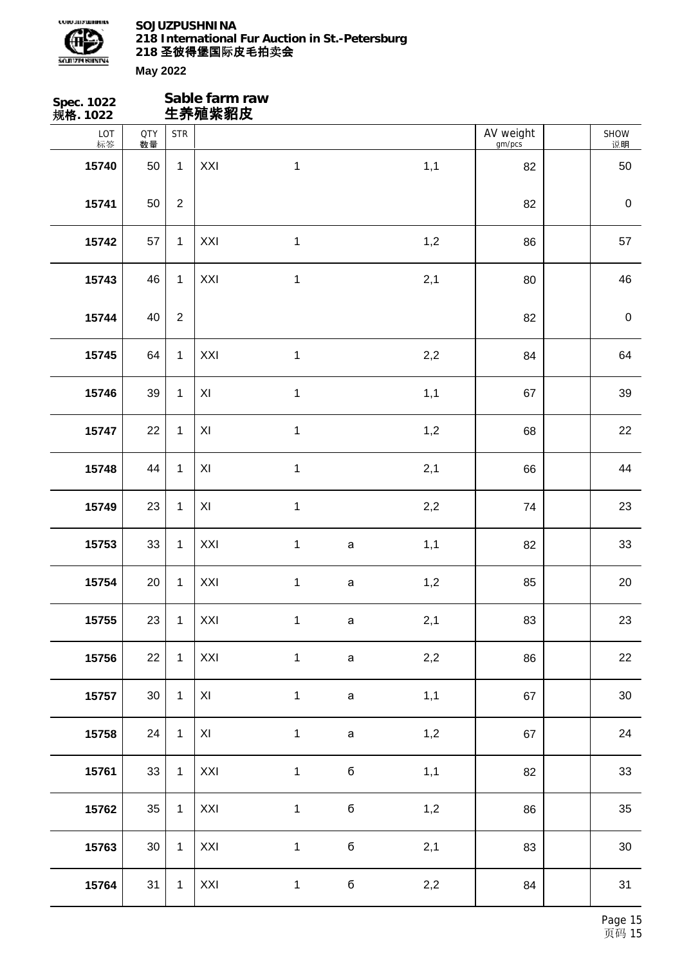

| <b>Spec. 1022</b><br>规格. 1022 |                  |                | Sable farm raw<br>生养殖紫貂皮 |              |              |     |                     |            |
|-------------------------------|------------------|----------------|--------------------------|--------------|--------------|-----|---------------------|------------|
| LOT<br>标签                     | <b>QTY</b><br>数量 | <b>STR</b>     |                          |              |              |     | AV weight<br>gm/pcs | SHOW<br>说明 |
| 15740                         | 50               | $\mathbf{1}$   | XXI                      | $\mathbf 1$  |              | 1,1 | 82                  | 50         |
| 15741                         | 50               | $\sqrt{2}$     |                          |              |              |     | 82                  | $\pmb{0}$  |
| 15742                         | 57               | $\mathbf{1}$   | XXI                      | $\mathbf 1$  |              | 1,2 | 86                  | 57         |
| 15743                         | 46               | $\mathbf{1}$   | XXI                      | $\mathbf{1}$ |              | 2,1 | 80                  | 46         |
| 15744                         | 40               | $\overline{2}$ |                          |              |              |     | 82                  | $\pmb{0}$  |
| 15745                         | 64               | $\mathbf{1}$   | XXI                      | $\mathbf 1$  |              | 2,2 | 84                  | 64         |
| 15746                         | 39               | $\mathbf{1}$   | XI                       | $\mathbf 1$  |              | 1,1 | 67                  | 39         |
| 15747                         | 22               | $\mathbf{1}$   | XI                       | $\mathbf 1$  |              | 1,2 | 68                  | 22         |
| 15748                         | 44               | $\mathbf{1}$   | $\pmb{\times}$           | $\mathbf 1$  |              | 2,1 | 66                  | 44         |
| 15749                         | 23               | $\mathbf{1}$   | $\pmb{\times}$           | $\mathbf 1$  |              | 2,2 | 74                  | 23         |
| 15753                         | 33               | $\mathbf{1}$   | XXI                      | $\mathbf 1$  | $\mathsf{a}$ | 1,1 | 82                  | 33         |
| 15754                         | 20               | $\mathbf{1}$   | XXI                      | $\mathbf 1$  | $\mathsf a$  | 1,2 | 85                  | 20         |
| 15755                         | 23               | $\mathbf{1}$   | XXI                      | $\mathbf{1}$ | $\mathsf a$  | 2,1 | 83                  | 23         |
| 15756                         | 22               | $\mathbf{1}$   | XXI                      | $\mathbf{1}$ | $\mathsf a$  | 2,2 | 86                  | 22         |
| 15757                         | 30 <sup>°</sup>  | $\mathbf{1}$   | XI                       | $\mathbf{1}$ | $\mathsf a$  | 1,1 | 67                  | $30\,$     |
| 15758                         | 24               | $\mathbf 1$    | $\mathsf{X} \mathsf{I}$  | $\mathbf{1}$ | $\mathsf a$  | 1,2 | 67                  | 24         |
| 15761                         | 33               | $\mathbf{1}$   | XXI                      | $\mathbf 1$  | $\mathbf 6$  | 1,1 | 82                  | 33         |
| 15762                         | 35               | $\mathbf{1}$   | XXI                      | $\mathbf{1}$ | $\mathbf 6$  | 1,2 | 86                  | 35         |
| 15763                         | 30 <sup>°</sup>  | $\mathbf{1}$   | XXI                      | $\mathbf{1}$ | $\mathbf 6$  | 2,1 | 83                  | $30\,$     |
| 15764                         | 31               | $\mathbf{1}$   | XXI                      | $\mathbf{1}$ | $\mathbf 6$  | 2,2 | 84                  | 31         |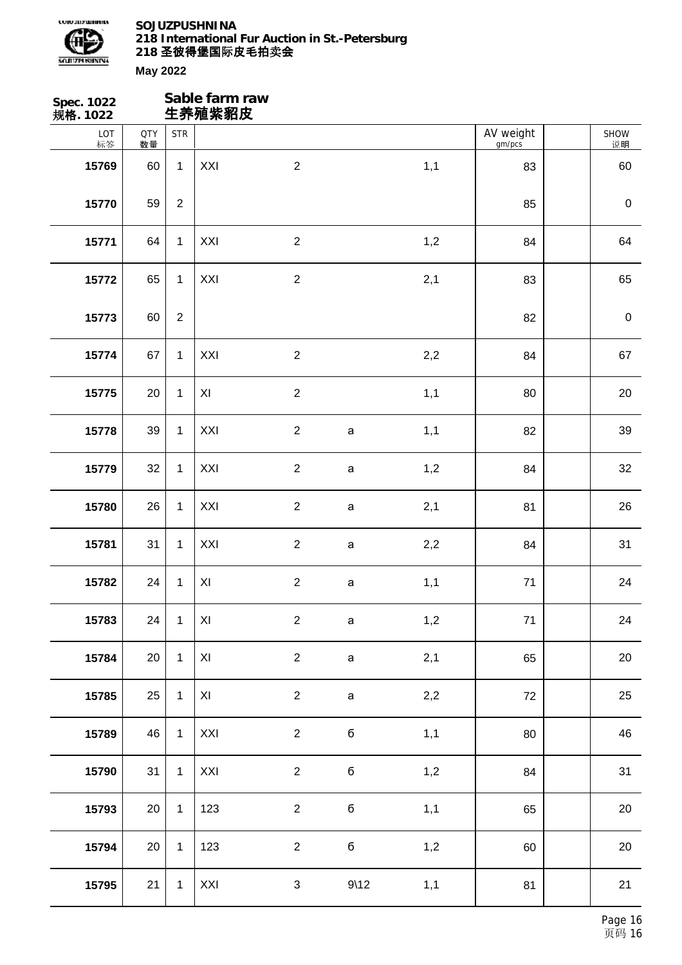

| Spec. 1022<br>规格. 1022 |                  |                | Sable farm raw<br>生养殖紫貂皮 |                |                  |     |                     |             |
|------------------------|------------------|----------------|--------------------------|----------------|------------------|-----|---------------------|-------------|
| LOT<br>标签              | <b>QTY</b><br>数量 | <b>STR</b>     |                          |                |                  |     | AV weight<br>gm/pcs | SHOW<br>说明  |
| 15769                  | 60               | $\mathbf{1}$   | XXI                      | $\overline{2}$ |                  | 1,1 | 83                  | 60          |
| 15770                  | 59               | $\sqrt{2}$     |                          |                |                  |     | 85                  | $\pmb{0}$   |
| 15771                  | 64               | $\mathbf{1}$   | XXI                      | $\overline{2}$ |                  | 1,2 | 84                  | 64          |
| 15772                  | 65               | $\mathbf{1}$   | XXI                      | $\overline{2}$ |                  | 2,1 | 83                  | 65          |
| 15773                  | 60               | $\overline{2}$ |                          |                |                  |     | 82                  | $\mathbf 0$ |
| 15774                  | 67               | $\mathbf{1}$   | XXI                      | $\sqrt{2}$     |                  | 2,2 | 84                  | 67          |
| 15775                  | 20               | $\mathbf{1}$   | XI                       | $\overline{2}$ |                  | 1,1 | 80                  | 20          |
| 15778                  | 39               | $\mathbf{1}$   | XXI                      | $\overline{2}$ | $\mathsf a$      | 1,1 | 82                  | 39          |
| 15779                  | 32               | $\mathbf{1}$   | XXI                      | $\overline{2}$ | $\mathsf a$      | 1,2 | 84                  | 32          |
| 15780                  | 26               | $\mathbf{1}$   | XXI                      | $\overline{2}$ | $\mathsf a$      | 2,1 | 81                  | 26          |
| 15781                  | 31               | $\mathbf{1}$   | XXI                      | $\overline{2}$ | $\mathsf{a}$     | 2,2 | 84                  | 31          |
| 15782                  | 24               | $\mathbf{1}$   | XI                       | $\overline{2}$ | $\mathsf{a}$     | 1,1 | 71                  | 24          |
| 15783                  | 24               | $\mathbf{1}$   | $\pmb{\times}$           | $\overline{2}$ | $\mathsf a$      | 1,2 | $71$                | 24          |
| 15784                  | 20               | $\mathbf{1}$   | XI                       | $\overline{2}$ | $\mathsf a$      | 2,1 | 65                  | 20          |
| 15785                  | 25               | $\mathbf{1}$   | XI                       | $\overline{2}$ | $\mathbf a$      | 2,2 | 72                  | 25          |
| 15789                  | 46               | $\mathbf{1}$   | XXI                      | $\overline{2}$ | б                | 1,1 | 80                  | 46          |
| 15790                  | 31               | $\mathbf{1}$   | XXI                      | $\overline{2}$ | б                | 1,2 | 84                  | 31          |
| 15793                  | 20               | $\mathbf{1}$   | 123                      | $\overline{2}$ | б                | 1,1 | 65                  | $20\,$      |
| 15794                  | 20               | $\mathbf{1}$   | 123                      | $\overline{2}$ | б                | 1,2 | 60                  | 20          |
| 15795                  | 21               | $\mathbf{1}$   | XXI                      | $\mathbf{3}$   | $9\backslash 12$ | 1,1 | 81                  | 21          |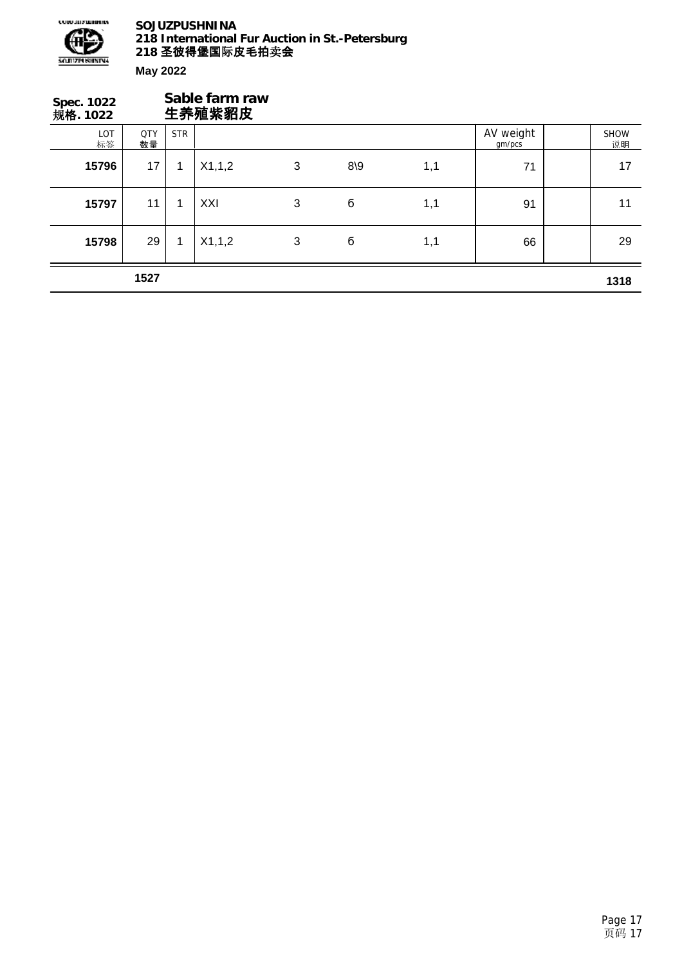

| Spec. 1022<br>规格. 1022 |                  |            | Sable farm raw<br>生养殖紫貂皮 |   |             |     |                     |                   |
|------------------------|------------------|------------|--------------------------|---|-------------|-----|---------------------|-------------------|
| LOT<br>标签              | <b>QTY</b><br>数量 | <b>STR</b> |                          |   |             |     | AV weight<br>gm/pcs | <b>SHOW</b><br>说明 |
| 15796                  | 17               |            | X1,1,2                   | 3 | $8\sqrt{9}$ | 1,1 | 71                  | 17                |
| 15797                  | 11               |            | XXI                      | 3 | б           | 1,1 | 91                  | 11                |
| 15798                  | 29               |            | X1,1,2                   | 3 | б           | 1,1 | 66                  | 29                |
|                        | 1527             |            |                          |   |             |     |                     | 1318              |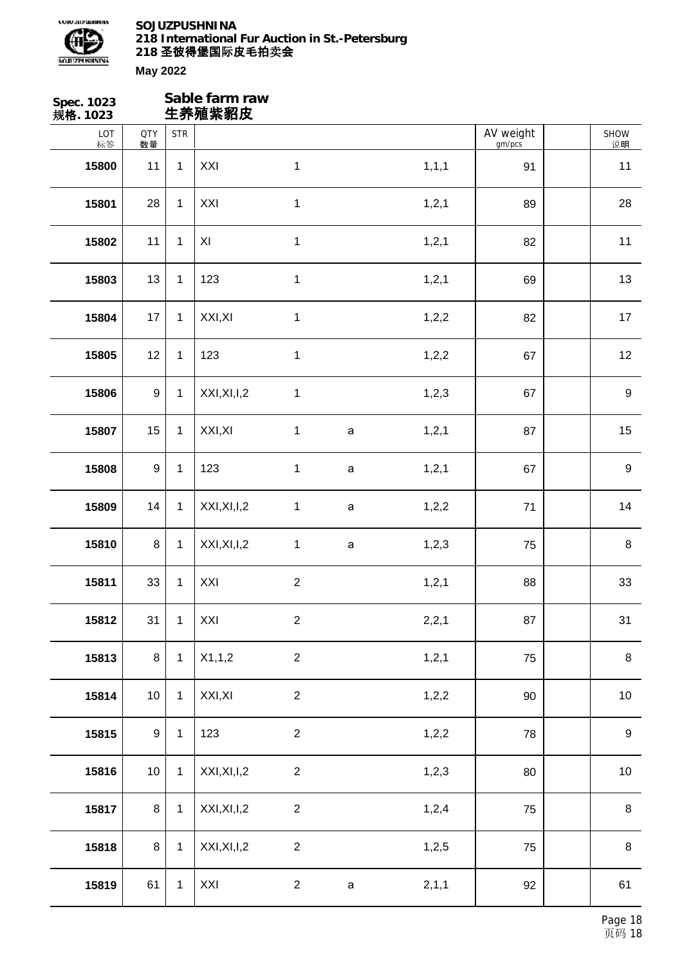

| Spec. 1023<br>规格. 1023 |                  |              | Sable farm raw<br>生养殖紫貂皮 |                |             |         |                     |                  |
|------------------------|------------------|--------------|--------------------------|----------------|-------------|---------|---------------------|------------------|
| LOT<br>标签              | <b>QTY</b><br>数量 | <b>STR</b>   |                          |                |             |         | AV weight<br>gm/pcs | SHOW<br>说明       |
| 15800                  | 11               | $\mathbf{1}$ | XXI                      | $\mathbf{1}$   |             | 1, 1, 1 | 91                  | 11               |
| 15801                  | 28               | $\mathbf{1}$ | XXI                      | $\mathbf{1}$   |             | 1,2,1   | 89                  | 28               |
| 15802                  | 11               | $\mathbf{1}$ | XI                       | $\mathbf{1}$   |             | 1,2,1   | 82                  | 11               |
| 15803                  | 13               | $\mathbf{1}$ | 123                      | $\mathbf{1}$   |             | 1,2,1   | 69                  | 13               |
| 15804                  | 17               | $\mathbf{1}$ | XXI, XI                  | $\mathbf{1}$   |             | 1, 2, 2 | 82                  | 17               |
| 15805                  | 12               | $\mathbf{1}$ | 123                      | $\mathbf{1}$   |             | 1, 2, 2 | 67                  | 12               |
| 15806                  | 9                | $\mathbf{1}$ | XXI, XI, I, 2            | $\mathbf{1}$   |             | 1, 2, 3 | 67                  | $\boldsymbol{9}$ |
| 15807                  | 15               | $\mathbf{1}$ | XXI, XI                  | $\mathbf{1}$   | $\mathsf a$ | 1, 2, 1 | 87                  | 15               |
| 15808                  | 9                | $\mathbf{1}$ | 123                      | $\mathbf{1}$   | $\mathsf a$ | 1,2,1   | 67                  | $\boldsymbol{9}$ |
| 15809                  | 14               | $\mathbf{1}$ | XXI, XI, I, 2            | $\mathbf{1}$   | $\mathsf a$ | 1,2,2   | 71                  | 14               |
| 15810                  | 8                | $\mathbf{1}$ | XXI, XI, I, 2            | $\mathbf{1}$   | $\mathsf a$ | 1, 2, 3 | 75                  | $\,8\,$          |
| 15811                  | 33               | $\mathbf{1}$ | XXI                      | $\overline{2}$ |             | 1, 2, 1 | 88                  | 33               |
| 15812                  | 31               | $\mathbf{1}$ | XXI                      | $\overline{2}$ |             | 2,2,1   | 87                  | 31               |
| 15813                  | 8                | $\mathbf{1}$ | X1,1,2                   | $\overline{2}$ |             | 1, 2, 1 | 75                  | $\,8\,$          |
| 15814                  | 10 <sup>°</sup>  | $\mathbf{1}$ | XXI, XI                  | $\overline{2}$ |             | 1,2,2   | 90                  | $10$             |
| 15815                  | $\boldsymbol{9}$ | $\mathbf 1$  | 123                      | $\overline{2}$ |             | 1,2,2   | 78                  | $\boldsymbol{9}$ |
| 15816                  | 10 <sub>1</sub>  | $\mathbf{1}$ | XXI, XI, I, 2            | $\overline{c}$ |             | 1,2,3   | 80                  | $10$             |
| 15817                  | 8                | $\mathbf{1}$ | XXI, XI, I, 2            | $\overline{2}$ |             | 1,2,4   | 75                  | $\bf 8$          |
| 15818                  | 8                | $\mathbf{1}$ | XXI, XI, I, 2            | $\overline{2}$ |             | 1,2,5   | 75                  | $\, 8$           |
| 15819                  | 61               | $\mathbf{1}$ | XXI                      | $\overline{2}$ | $\mathsf a$ | 2,1,1   | 92                  | 61               |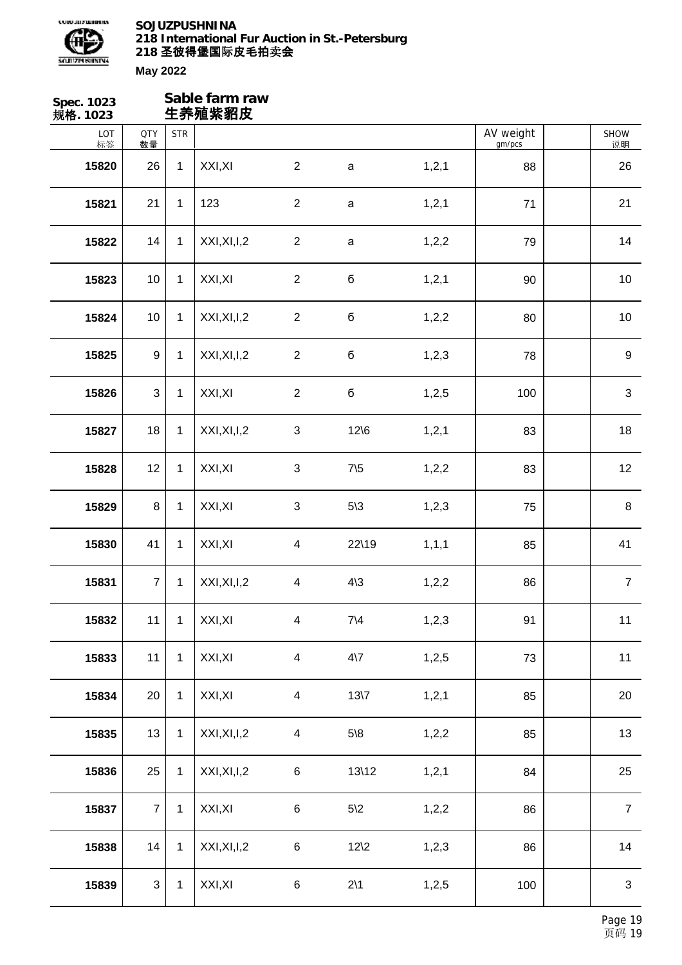

**Spec. 1023 规格. 1023 Sable farm raw 生养殖紫貂皮** LOT 标签 QTY 数量 SHOW 说明 STR | AV weight gm/pcs 26 1 XXI,XI 2 а 1,2,1 88 26 21 1 123 2 а 1,2,1 71 21 14 1 XXI,XI,I,2 2 а 1,2,2 79 14 10 1 XXI,XI 2 б 1,2,1 90 10 10 1 XXI,XI,I,2 2 б 1,2,2 80 10 9 1 XXI,XI,I,2 2 б 1,2,3 78 9 3 1 XXI,XI 2 б 1,2,5 100 3 | 18 | 1 | XXI,XI,I,2 3 12\6 1,2,1 | 83 | | 18 12 1 XXI,XI 3 7\5 1,2,2 1 83 12 12 8 1 XXI,XI 3 5\3 1,2,3 1 75 8 41 1 XXI,XI 4 22\19 1,1,1 85 41 | 7 | 1 | XXI,XI,I,2 4 4\3 1,2,2 | 86 | | 7 11 | XXI,XI 4 7\4 1,2,3 | 91 | 11 11 | XXI,XI 4 4\7 1,2,5 | 73 | 11 20 1 XXI,XI 4 13\7 1,2,1 1 85 20 | 13 | 1 | XXI,XI,I,2 4 5\8 1,2,2 | 85 | | 13 25 1 XXI,XI,I,2 6 13\12 1,2,1 84 25 | 7 | 1 | XXI,XI 6 5\2 1,2,2 | 86 | | 7 14 1 XXI,XI,I,2 6 12\2 1,2,3 1 86 144 3 1 XXI,XI 6 2\1 1,2,5 100 3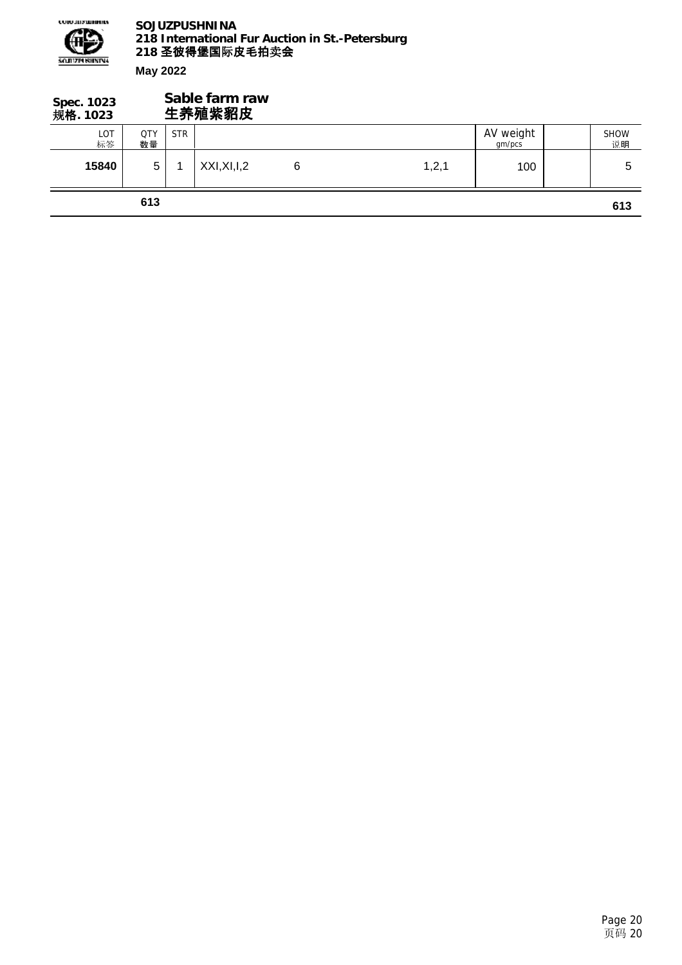

| Spec. 1023<br>规 <b>格</b> . 1023 |                  |            | Sable farm raw<br>生养殖紫貂皮 |   |         |                     |                   |
|---------------------------------|------------------|------------|--------------------------|---|---------|---------------------|-------------------|
| <b>LOT</b><br>标签                | <b>QTY</b><br>数量 | <b>STR</b> |                          |   |         | AV weight<br>gm/pcs | <b>SHOW</b><br>说明 |
| 15840                           | 5                |            | XXI, XI, I, 2            | 6 | 1, 2, 1 | 100                 | 5                 |
|                                 | 613              |            |                          |   |         |                     | 613               |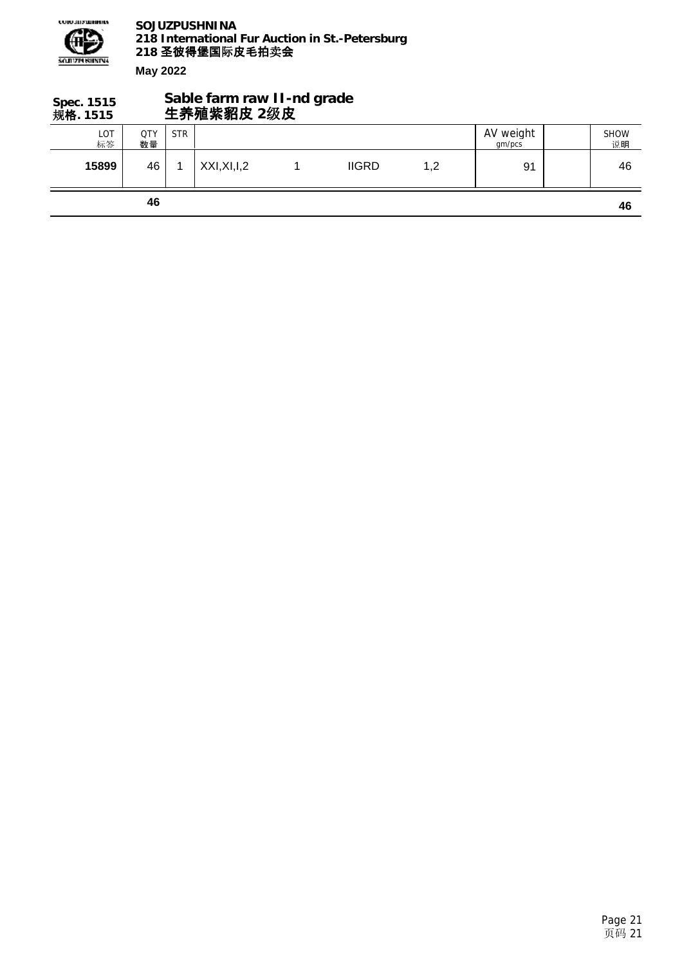

| Spec. 1515<br>规格. 1515 |                  |            | Sable farm raw II-nd grade<br>生养殖紫貂皮 2级皮 |              |     |                     |                   |
|------------------------|------------------|------------|------------------------------------------|--------------|-----|---------------------|-------------------|
| LOT<br>标签              | <b>QTY</b><br>数量 | <b>STR</b> |                                          |              |     | AV weight<br>gm/pcs | <b>SHOW</b><br>说明 |
| 15899                  | 46               |            | XXI, XI, I, 2                            | <b>IIGRD</b> | 1,2 | 91                  | 46                |
|                        | 46               |            |                                          |              |     |                     | 46                |